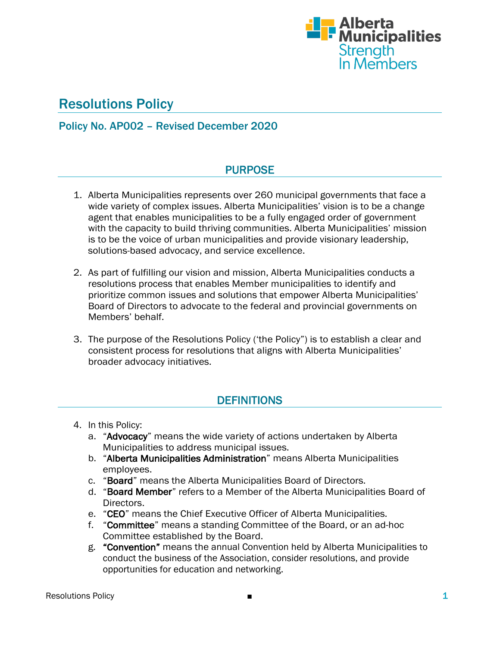

# Resolutions Policy

# Policy No. AP002 – Revised December 2020

# PURPOSE

- 1. Alberta Municipalities represents over 260 municipal governments that face a wide variety of complex issues. Alberta Municipalities' vision is to be a change agent that enables municipalities to be a fully engaged order of government with the capacity to build thriving communities. Alberta Municipalities' mission is to be the voice of urban municipalities and provide visionary leadership, solutions-based advocacy, and service excellence.
- 2. As part of fulfilling our vision and mission, Alberta Municipalities conducts a resolutions process that enables Member municipalities to identify and prioritize common issues and solutions that empower Alberta Municipalities' Board of Directors to advocate to the federal and provincial governments on Members' behalf.
- 3. The purpose of the Resolutions Policy ('the Policy") is to establish a clear and consistent process for resolutions that aligns with Alberta Municipalities' broader advocacy initiatives.

# **DEFINITIONS**

- 4. In this Policy:
	- a. "Advocacy" means the wide variety of actions undertaken by Alberta Municipalities to address municipal issues.
	- b. "Alberta Municipalities Administration" means Alberta Municipalities employees.
	- c. "Board" means the Alberta Municipalities Board of Directors.
	- d. "Board Member" refers to a Member of the Alberta Municipalities Board of Directors.
	- e. "CEO" means the Chief Executive Officer of Alberta Municipalities.
	- f. "Committee" means a standing Committee of the Board, or an ad-hoc Committee established by the Board.
	- g. "Convention" means the annual Convention held by Alberta Municipalities to conduct the business of the Association, consider resolutions, and provide opportunities for education and networking.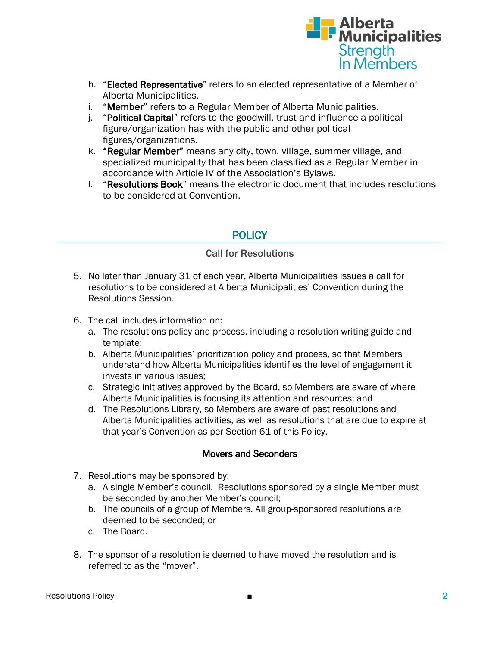

- h. "Elected Representative" refers to an elected representative of a Member of Alberta Municipalities.
- i. "Member" refers to a Regular Member of Alberta Municipalities.
- j. "Political Capital" refers to the goodwill, trust and influence a political figure/organization has with the public and other political figures/organizations.
- k. "Regular Member" means any city, town, village, summer village, and specialized municipality that has been classified as a Regular Member in accordance with Article IV of the Association's Bylaws.
- l. "Resolutions Book" means the electronic document that includes resolutions to be considered at Convention.

# **POLICY**

### Call for Resolutions

- 5. No later than January 31 of each year, Alberta Municipalities issues a call for resolutions to be considered at Alberta Municipalities' Convention during the Resolutions Session.
- 6. The call includes information on:
	- a. The resolutions policy and process, including a resolution writing guide and template;
	- b. Alberta Municipalities' prioritization policy and process, so that Members understand how Alberta Municipalities identifies the level of engagement it invests in various issues;
	- c. Strategic initiatives approved by the Board, so Members are aware of where Alberta Municipalities is focusing its attention and resources; and
	- d. The Resolutions Library, so Members are aware of past resolutions and Alberta Municipalities activities, as well as resolutions that are due to expire at that year's Convention as per Section 61 of this Policy.

#### Movers and Seconders

- 7. Resolutions may be sponsored by:
	- a. A single Member's council. Resolutions sponsored by a single Member must be seconded by another Member's council;
	- b. The councils of a group of Members. All group-sponsored resolutions are deemed to be seconded; or
	- c. The Board.
- 8. The sponsor of a resolution is deemed to have moved the resolution and is referred to as the "mover".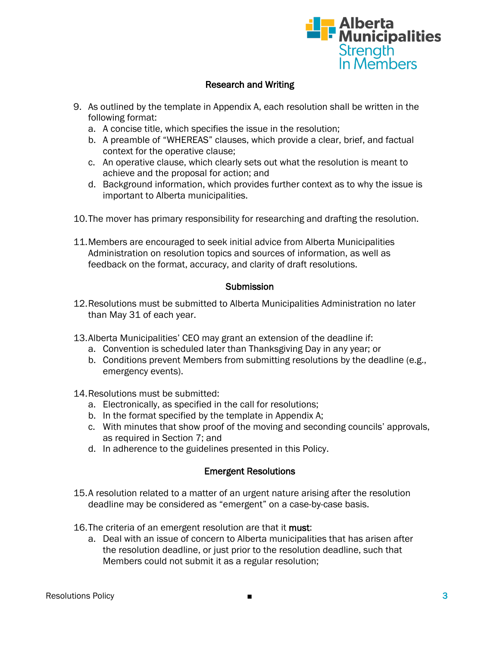

### Research and Writing

- 9. As outlined by the template in Appendix A, each resolution shall be written in the following format:
	- a. A concise title, which specifies the issue in the resolution;
	- b. A preamble of "WHEREAS" clauses, which provide a clear, brief, and factual context for the operative clause;
	- c. An operative clause, which clearly sets out what the resolution is meant to achieve and the proposal for action; and
	- d. Background information, which provides further context as to why the issue is important to Alberta municipalities.
- 10.The mover has primary responsibility for researching and drafting the resolution.
- 11.Members are encouraged to seek initial advice from Alberta Municipalities Administration on resolution topics and sources of information, as well as feedback on the format, accuracy, and clarity of draft resolutions.

#### Submission

- 12.Resolutions must be submitted to Alberta Municipalities Administration no later than May 31 of each year.
- 13.Alberta Municipalities' CEO may grant an extension of the deadline if:
	- a. Convention is scheduled later than Thanksgiving Day in any year; or
	- b. Conditions prevent Members from submitting resolutions by the deadline (e.g., emergency events).
- 14.Resolutions must be submitted:
	- a. Electronically, as specified in the call for resolutions;
	- b. In the format specified by the template in Appendix A;
	- c. With minutes that show proof of the moving and seconding councils' approvals, as required in Section 7; and
	- d. In adherence to the guidelines presented in this Policy.

#### Emergent Resolutions

- 15.A resolution related to a matter of an urgent nature arising after the resolution deadline may be considered as "emergent" on a case-by-case basis.
- 16. The criteria of an emergent resolution are that it must:
	- a. Deal with an issue of concern to Alberta municipalities that has arisen after the resolution deadline, or just prior to the resolution deadline, such that Members could not submit it as a regular resolution;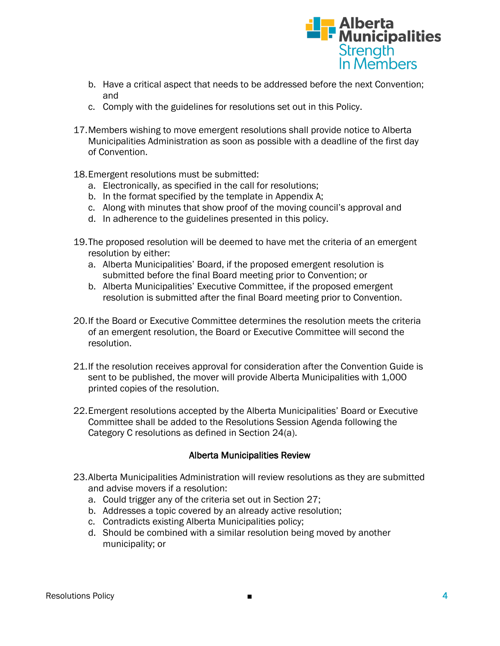

- b. Have a critical aspect that needs to be addressed before the next Convention; and
- c. Comply with the guidelines for resolutions set out in this Policy.
- 17.Members wishing to move emergent resolutions shall provide notice to Alberta Municipalities Administration as soon as possible with a deadline of the first day of Convention.
- 18.Emergent resolutions must be submitted:
	- a. Electronically, as specified in the call for resolutions;
	- b. In the format specified by the template in Appendix A;
	- c. Along with minutes that show proof of the moving council's approval and
	- d. In adherence to the guidelines presented in this policy.
- 19.The proposed resolution will be deemed to have met the criteria of an emergent resolution by either:
	- a. Alberta Municipalities' Board, if the proposed emergent resolution is submitted before the final Board meeting prior to Convention; or
	- b. Alberta Municipalities' Executive Committee, if the proposed emergent resolution is submitted after the final Board meeting prior to Convention.
- 20.If the Board or Executive Committee determines the resolution meets the criteria of an emergent resolution, the Board or Executive Committee will second the resolution.
- 21.If the resolution receives approval for consideration after the Convention Guide is sent to be published, the mover will provide Alberta Municipalities with 1,000 printed copies of the resolution.
- 22.Emergent resolutions accepted by the Alberta Municipalities' Board or Executive Committee shall be added to the Resolutions Session Agenda following the Category C resolutions as defined in Section 24(a).

#### Alberta Municipalities Review

- 23.Alberta Municipalities Administration will review resolutions as they are submitted and advise movers if a resolution:
	- a. Could trigger any of the criteria set out in Section 27;
	- b. Addresses a topic covered by an already active resolution;
	- c. Contradicts existing Alberta Municipalities policy;
	- d. Should be combined with a similar resolution being moved by another municipality; or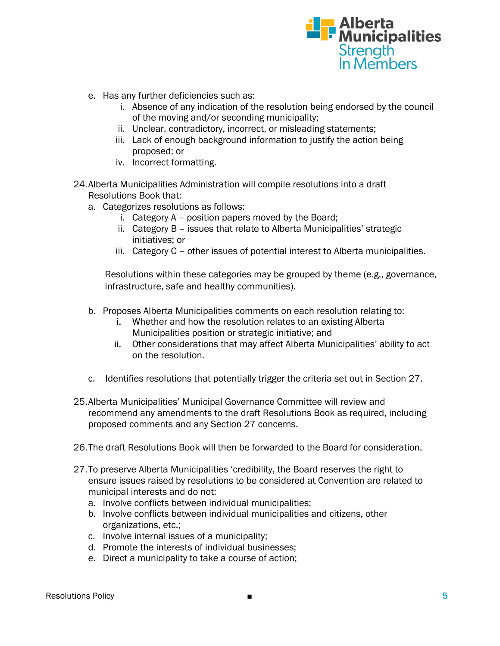

- e. Has any further deficiencies such as:
	- i. Absence of any indication of the resolution being endorsed by the council of the moving and/or seconding municipality;
	- ii. Unclear, contradictory, incorrect, or misleading statements;
	- iii. Lack of enough background information to justify the action being proposed; or
	- iv. Incorrect formatting.
- 24.Alberta Municipalities Administration will compile resolutions into a draft Resolutions Book that:
	- a. Categorizes resolutions as follows:
		- i. Category A position papers moved by the Board;
		- ii. Category B issues that relate to Alberta Municipalities' strategic initiatives; or
		- iii. Category C other issues of potential interest to Alberta municipalities.

Resolutions within these categories may be grouped by theme (e.g., governance, infrastructure, safe and healthy communities).

- b. Proposes Alberta Municipalities comments on each resolution relating to:
	- i. Whether and how the resolution relates to an existing Alberta Municipalities position or strategic initiative; and
	- ii. Other considerations that may affect Alberta Municipalities' ability to act on the resolution.
- c. Identifies resolutions that potentially trigger the criteria set out in Section 27.
- 25.Alberta Municipalities' Municipal Governance Committee will review and recommend any amendments to the draft Resolutions Book as required, including proposed comments and any Section 27 concerns.
- 26.The draft Resolutions Book will then be forwarded to the Board for consideration.
- 27.To preserve Alberta Municipalities 'credibility, the Board reserves the right to ensure issues raised by resolutions to be considered at Convention are related to municipal interests and do not:
	- a. Involve conflicts between individual municipalities;
	- b. Involve conflicts between individual municipalities and citizens, other organizations, etc.;
	- c. Involve internal issues of a municipality;
	- d. Promote the interests of individual businesses;
	- e. Direct a municipality to take a course of action;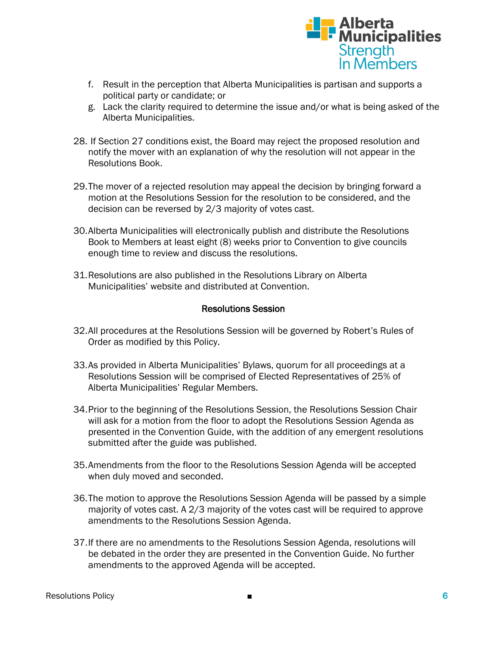

- f. Result in the perception that Alberta Municipalities is partisan and supports a political party or candidate; or
- g. Lack the clarity required to determine the issue and/or what is being asked of the Alberta Municipalities.
- 28. If Section 27 conditions exist, the Board may reject the proposed resolution and notify the mover with an explanation of why the resolution will not appear in the Resolutions Book.
- 29.The mover of a rejected resolution may appeal the decision by bringing forward a motion at the Resolutions Session for the resolution to be considered, and the decision can be reversed by 2/3 majority of votes cast.
- 30.Alberta Municipalities will electronically publish and distribute the Resolutions Book to Members at least eight (8) weeks prior to Convention to give councils enough time to review and discuss the resolutions.
- 31.Resolutions are also published in the Resolutions Library on Alberta Municipalities' website and distributed at Convention.

#### Resolutions Session

- 32.All procedures at the Resolutions Session will be governed by Robert's Rules of Order as modified by this Policy.
- 33.As provided in Alberta Municipalities' Bylaws, quorum for all proceedings at a Resolutions Session will be comprised of Elected Representatives of 25% of Alberta Municipalities' Regular Members.
- 34.Prior to the beginning of the Resolutions Session, the Resolutions Session Chair will ask for a motion from the floor to adopt the Resolutions Session Agenda as presented in the Convention Guide, with the addition of any emergent resolutions submitted after the guide was published.
- 35.Amendments from the floor to the Resolutions Session Agenda will be accepted when duly moved and seconded.
- 36.The motion to approve the Resolutions Session Agenda will be passed by a simple majority of votes cast. A 2/3 majority of the votes cast will be required to approve amendments to the Resolutions Session Agenda.
- 37.If there are no amendments to the Resolutions Session Agenda, resolutions will be debated in the order they are presented in the Convention Guide. No further amendments to the approved Agenda will be accepted.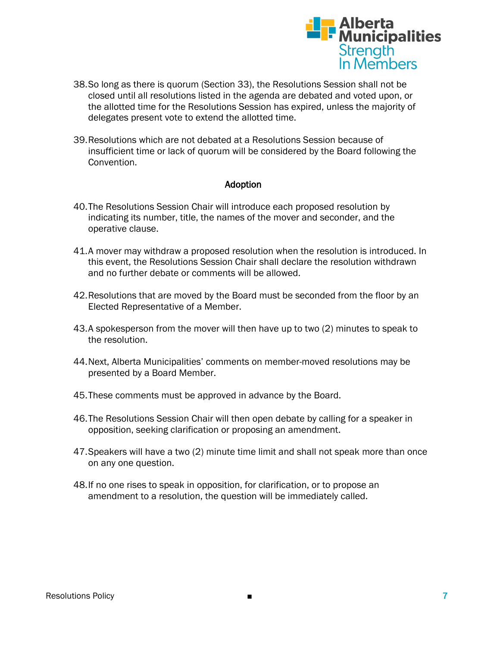

- 38.So long as there is quorum (Section 33), the Resolutions Session shall not be closed until all resolutions listed in the agenda are debated and voted upon, or the allotted time for the Resolutions Session has expired, unless the majority of delegates present vote to extend the allotted time.
- 39.Resolutions which are not debated at a Resolutions Session because of insufficient time or lack of quorum will be considered by the Board following the Convention.

#### Adoption

- 40.The Resolutions Session Chair will introduce each proposed resolution by indicating its number, title, the names of the mover and seconder, and the operative clause.
- 41.A mover may withdraw a proposed resolution when the resolution is introduced. In this event, the Resolutions Session Chair shall declare the resolution withdrawn and no further debate or comments will be allowed.
- 42.Resolutions that are moved by the Board must be seconded from the floor by an Elected Representative of a Member.
- 43.A spokesperson from the mover will then have up to two (2) minutes to speak to the resolution.
- 44.Next, Alberta Municipalities' comments on member-moved resolutions may be presented by a Board Member.
- 45.These comments must be approved in advance by the Board.
- 46.The Resolutions Session Chair will then open debate by calling for a speaker in opposition, seeking clarification or proposing an amendment.
- 47.Speakers will have a two (2) minute time limit and shall not speak more than once on any one question.
- 48.If no one rises to speak in opposition, for clarification, or to propose an amendment to a resolution, the question will be immediately called.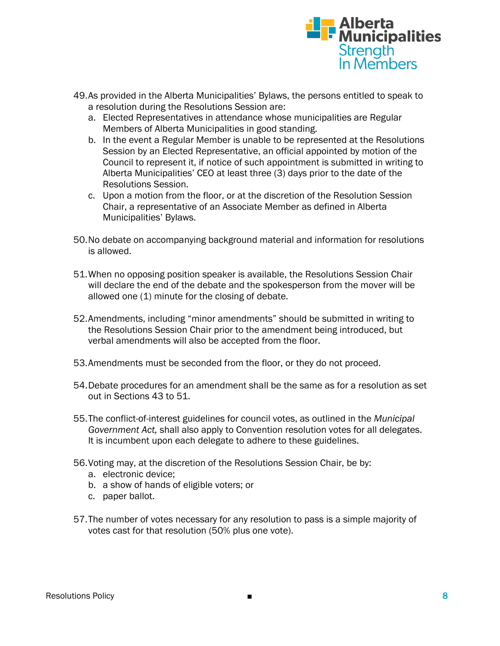

- 49.As provided in the Alberta Municipalities' Bylaws, the persons entitled to speak to a resolution during the Resolutions Session are:
	- a. Elected Representatives in attendance whose municipalities are Regular Members of Alberta Municipalities in good standing.
	- b. In the event a Regular Member is unable to be represented at the Resolutions Session by an Elected Representative, an official appointed by motion of the Council to represent it, if notice of such appointment is submitted in writing to Alberta Municipalities' CEO at least three (3) days prior to the date of the Resolutions Session.
	- c. Upon a motion from the floor, or at the discretion of the Resolution Session Chair, a representative of an Associate Member as defined in Alberta Municipalities' Bylaws.
- 50.No debate on accompanying background material and information for resolutions is allowed.
- 51.When no opposing position speaker is available, the Resolutions Session Chair will declare the end of the debate and the spokesperson from the mover will be allowed one (1) minute for the closing of debate.
- 52.Amendments, including "minor amendments" should be submitted in writing to the Resolutions Session Chair prior to the amendment being introduced, but verbal amendments will also be accepted from the floor.
- 53.Amendments must be seconded from the floor, or they do not proceed.
- 54.Debate procedures for an amendment shall be the same as for a resolution as set out in Sections 43 to 51.
- 55.The conflict-of-interest guidelines for council votes, as outlined in the *Municipal Government Act,* shall also apply to Convention resolution votes for all delegates. It is incumbent upon each delegate to adhere to these guidelines.
- 56.Voting may, at the discretion of the Resolutions Session Chair, be by:
	- a. electronic device;
	- b. a show of hands of eligible voters; or
	- c. paper ballot.
- 57.The number of votes necessary for any resolution to pass is a simple majority of votes cast for that resolution (50% plus one vote).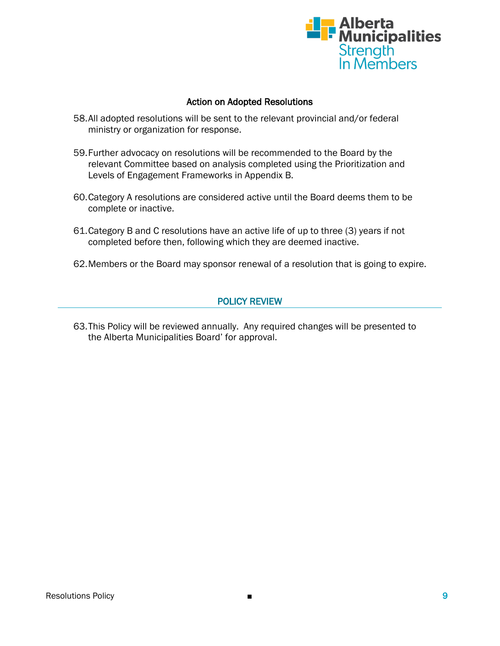

#### Action on Adopted Resolutions

- 58.All adopted resolutions will be sent to the relevant provincial and/or federal ministry or organization for response.
- 59.Further advocacy on resolutions will be recommended to the Board by the relevant Committee based on analysis completed using the Prioritization and Levels of Engagement Frameworks in Appendix B.
- 60.Category A resolutions are considered active until the Board deems them to be complete or inactive.
- 61.Category B and C resolutions have an active life of up to three (3) years if not completed before then, following which they are deemed inactive.
- 62.Members or the Board may sponsor renewal of a resolution that is going to expire.

### POLICY REVIEW

63.This Policy will be reviewed annually. Any required changes will be presented to the Alberta Municipalities Board' for approval.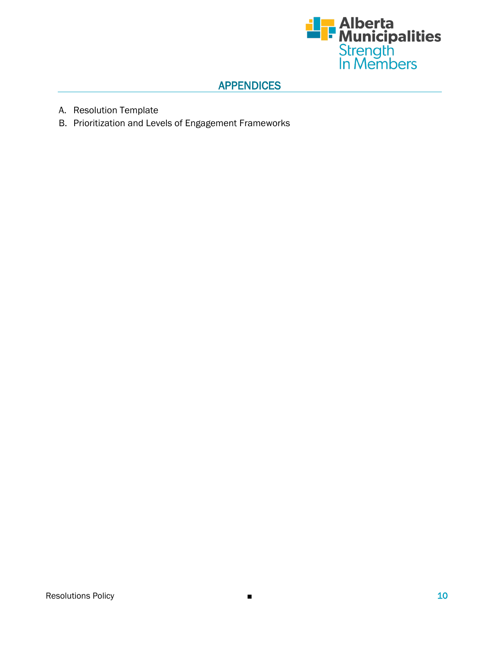

### APPENDICES

- A. Resolution Template
- B. Prioritization and Levels of Engagement Frameworks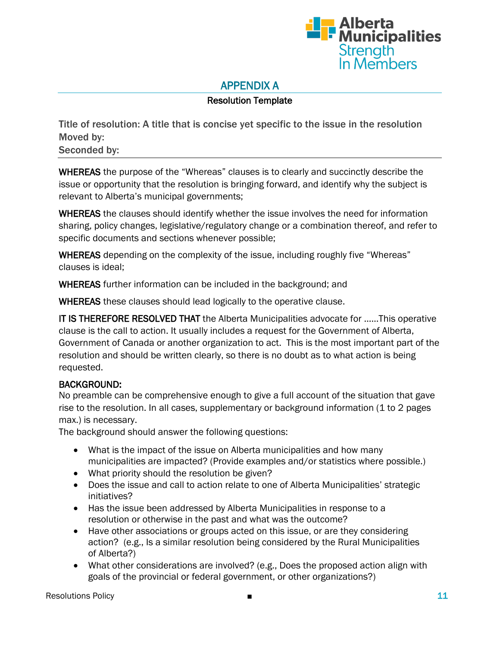

# APPENDIX A

### Resolution Template

Title of resolution: A title that is concise yet specific to the issue in the resolution Moved by: Seconded by:

WHEREAS the purpose of the "Whereas" clauses is to clearly and succinctly describe the issue or opportunity that the resolution is bringing forward, and identify why the subject is relevant to Alberta's municipal governments;

WHEREAS the clauses should identify whether the issue involves the need for information sharing, policy changes, legislative/regulatory change or a combination thereof, and refer to specific documents and sections whenever possible;

WHEREAS depending on the complexity of the issue, including roughly five "Whereas" clauses is ideal;

WHEREAS further information can be included in the background; and

WHEREAS these clauses should lead logically to the operative clause.

IT IS THEREFORE RESOLVED THAT the Alberta Municipalities advocate for ……This operative clause is the call to action. It usually includes a request for the Government of Alberta, Government of Canada or another organization to act. This is the most important part of the resolution and should be written clearly, so there is no doubt as to what action is being requested.

#### BACKGROUND:

No preamble can be comprehensive enough to give a full account of the situation that gave rise to the resolution. In all cases, supplementary or background information (1 to 2 pages max.) is necessary.

The background should answer the following questions:

- What is the impact of the issue on Alberta municipalities and how many municipalities are impacted? (Provide examples and/or statistics where possible.)
- What priority should the resolution be given?
- Does the issue and call to action relate to one of Alberta Municipalities' strategic initiatives?
- Has the issue been addressed by Alberta Municipalities in response to a resolution or otherwise in the past and what was the outcome?
- Have other associations or groups acted on this issue, or are they considering action? (e.g., Is a similar resolution being considered by the Rural Municipalities of Alberta?)
- What other considerations are involved? (e.g., Does the proposed action align with goals of the provincial or federal government, or other organizations?)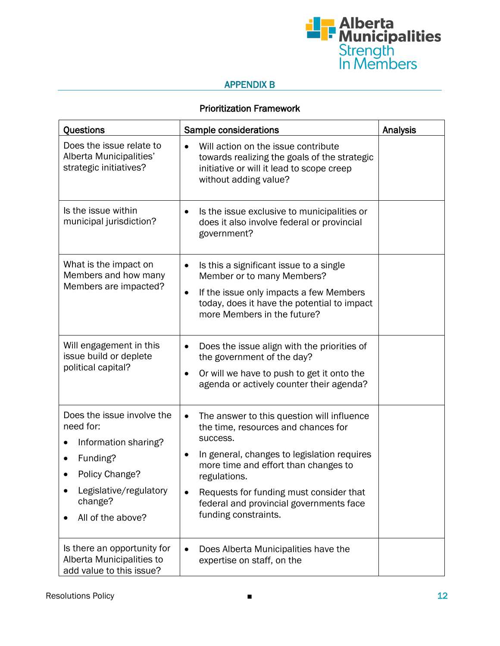

### APPENDIX B

### Prioritization Framework

| Questions                                                                                                                                                    | Sample considerations                                                                                                                                                                                                                                                                                                           | Analysis |
|--------------------------------------------------------------------------------------------------------------------------------------------------------------|---------------------------------------------------------------------------------------------------------------------------------------------------------------------------------------------------------------------------------------------------------------------------------------------------------------------------------|----------|
| Does the issue relate to<br>Alberta Municipalities'<br>strategic initiatives?                                                                                | Will action on the issue contribute<br>towards realizing the goals of the strategic<br>initiative or will it lead to scope creep<br>without adding value?                                                                                                                                                                       |          |
| Is the issue within<br>municipal jurisdiction?                                                                                                               | Is the issue exclusive to municipalities or<br>$\bullet$<br>does it also involve federal or provincial<br>government?                                                                                                                                                                                                           |          |
| What is the impact on<br>Members and how many<br>Members are impacted?                                                                                       | Is this a significant issue to a single<br>$\bullet$<br>Member or to many Members?<br>If the issue only impacts a few Members<br>٠<br>today, does it have the potential to impact<br>more Members in the future?                                                                                                                |          |
| Will engagement in this<br>issue build or deplete<br>political capital?                                                                                      | Does the issue align with the priorities of<br>$\bullet$<br>the government of the day?<br>Or will we have to push to get it onto the<br>agenda or actively counter their agenda?                                                                                                                                                |          |
| Does the issue involve the<br>need for:<br>Information sharing?<br>0<br>Funding?<br>Policy Change?<br>Legislative/regulatory<br>change?<br>All of the above? | The answer to this question will influence<br>$\bullet$<br>the time, resources and chances for<br>success.<br>In general, changes to legislation requires<br>more time and effort than changes to<br>regulations.<br>Requests for funding must consider that<br>federal and provincial governments face<br>funding constraints. |          |
| Is there an opportunity for<br>Alberta Municipalities to<br>add value to this issue?                                                                         | Does Alberta Municipalities have the<br>$\bullet$<br>expertise on staff, on the                                                                                                                                                                                                                                                 |          |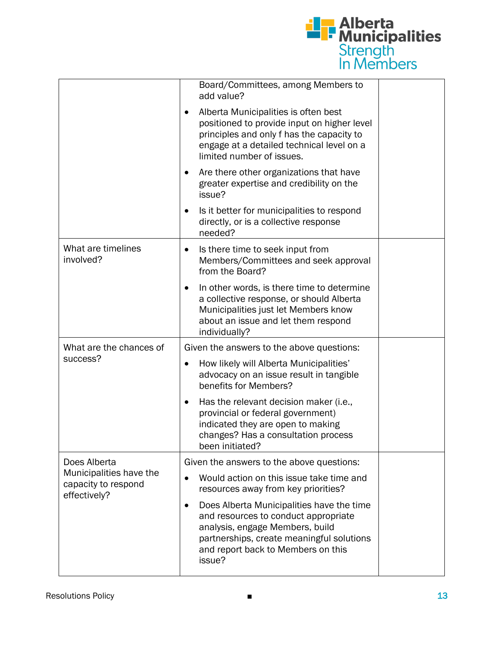

|                                                                                | Board/Committees, among Members to<br>add value?                                                                                                                                                                  |  |
|--------------------------------------------------------------------------------|-------------------------------------------------------------------------------------------------------------------------------------------------------------------------------------------------------------------|--|
|                                                                                | Alberta Municipalities is often best<br>positioned to provide input on higher level<br>principles and only f has the capacity to<br>engage at a detailed technical level on a<br>limited number of issues.        |  |
|                                                                                | Are there other organizations that have<br>greater expertise and credibility on the<br>issue?                                                                                                                     |  |
|                                                                                | Is it better for municipalities to respond<br>directly, or is a collective response<br>needed?                                                                                                                    |  |
| What are timelines<br>involved?                                                | Is there time to seek input from<br>Members/Committees and seek approval<br>from the Board?                                                                                                                       |  |
|                                                                                | In other words, is there time to determine<br>a collective response, or should Alberta<br>Municipalities just let Members know<br>about an issue and let them respond<br>individually?                            |  |
| What are the chances of<br>success?                                            | Given the answers to the above questions:                                                                                                                                                                         |  |
|                                                                                | How likely will Alberta Municipalities'<br>advocacy on an issue result in tangible<br>benefits for Members?                                                                                                       |  |
|                                                                                | Has the relevant decision maker (i.e.,<br>provincial or federal government)<br>indicated they are open to making<br>changes? Has a consultation process<br>been initiated?                                        |  |
| Does Alberta<br>Municipalities have the<br>capacity to respond<br>effectively? | Given the answers to the above questions:                                                                                                                                                                         |  |
|                                                                                | Would action on this issue take time and<br>$\bullet$<br>resources away from key priorities?                                                                                                                      |  |
|                                                                                | Does Alberta Municipalities have the time<br>and resources to conduct appropriate<br>analysis, engage Members, build<br>partnerships, create meaningful solutions<br>and report back to Members on this<br>issue? |  |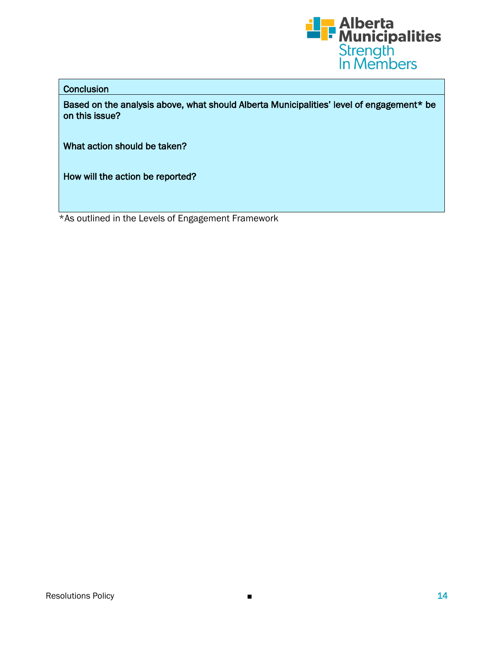

#### **Conclusion**

Based on the analysis above, what should Alberta Municipalities' level of engagement\* be on this issue?

What action should be taken?

How will the action be reported?

\*As outlined in the Levels of Engagement Framework